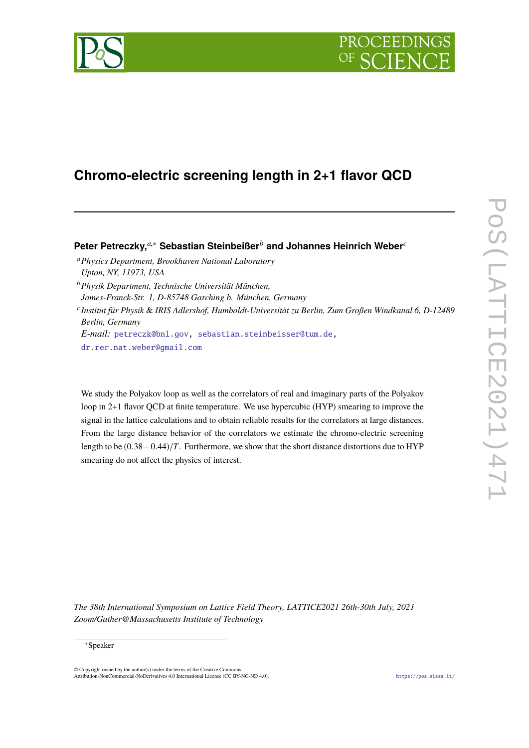

# **Chromo-electric screening length in 2+1 flavor QCD**

**Peter Petreczky,***a*,<sup>∗</sup> **Sebastian Steinbeißer***<sup>b</sup>* **and Johannes Heinrich Weber***<sup>c</sup>*

- <sup>a</sup>*Physics Department, Brookhaven National Laboratory Upton, NY, 11973, USA*
- <sup>b</sup>*Physik Department, Technische Universität München,*

*James-Franck-Str. 1, D-85748 Garching b. München, Germany*

c *Institut für Physik* & *IRIS Adlershof, Humboldt-Universität zu Berlin, Zum Großen Windkanal 6, D-12489 Berlin, Germany*

*E-mail:* [petreczk@bnl.gov,](mailto:petreczk@bnl.gov) [sebastian.steinbeisser@tum.de,](mailto:sebastian.steinbeisser@tum.de)

[dr.rer.nat.weber@gmail.com](mailto:dr.rer.nat.weber@gmail.com)

We study the Polyakov loop as well as the correlators of real and imaginary parts of the Polyakov loop in 2+1 flavor QCD at finite temperature. We use hypercubic (HYP) smearing to improve the signal in the lattice calculations and to obtain reliable results for the correlators at large distances. From the large distance behavior of the correlators we estimate the chromo-electric screening length to be  $(0.38-0.44)/T$ . Furthermore, we show that the short distance distortions due to HYP smearing do not affect the physics of interest.

*The 38th International Symposium on Lattice Field Theory, LATTICE2021 26th-30th July, 2021 Zoom/Gather@Massachusetts Institute of Technology*

# ∗Speaker

 $\odot$  Copyright owned by the author(s) under the terms of the Creative Common Attribution-NonCommercial-NoDerivatives 4.0 International License (CC BY-NC-ND 4.0). <https://pos.sissa.it/>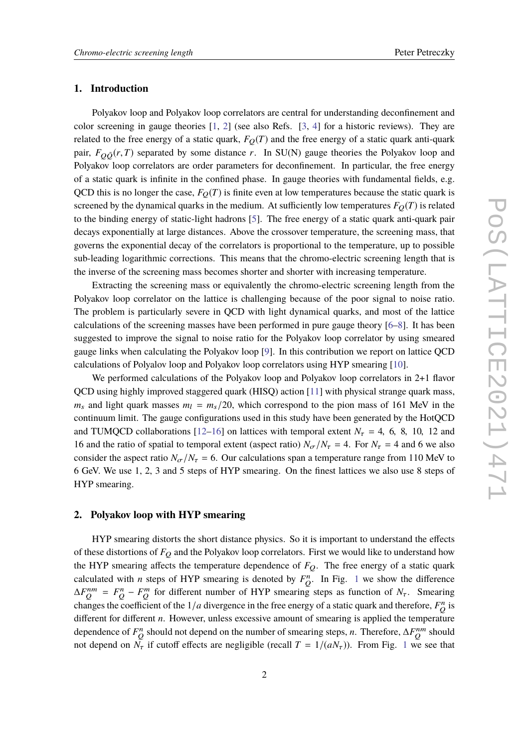# **1. Introduction**

Polyakov loop and Polyakov loop correlators are central for understanding deconfinement and color screening in gauge theories [\[1,](#page-5-0) [2\]](#page-6-0) (see also Refs. [\[3,](#page-6-1) [4\]](#page-6-2) for a historic reviews). They are related to the free energy of a static quark,  $F_Q(T)$  and the free energy of a static quark anti-quark pair,  $F_{\Omega\bar{O}}(r, T)$  separated by some distance *r*. In SU(N) gauge theories the Polyakov loop and Polyakov loop correlators are order parameters for deconfinement. In particular, the free energy of a static quark is infinite in the confined phase. In gauge theories with fundamental fields, e.g. QCD this is no longer the case,  $F_Q(T)$  is finite even at low temperatures because the static quark is screened by the dynamical quarks in the medium. At sufficiently low temperatures  $F_Q(T)$  is related to the binding energy of static-light hadrons [\[5\]](#page-6-3). The free energy of a static quark anti-quark pair decays exponentially at large distances. Above the crossover temperature, the screening mass, that governs the exponential decay of the correlators is proportional to the temperature, up to possible sub-leading logarithmic corrections. This means that the chromo-electric screening length that is the inverse of the screening mass becomes shorter and shorter with increasing temperature.

Extracting the screening mass or equivalently the chromo-electric screening length from the Polyakov loop correlator on the lattice is challenging because of the poor signal to noise ratio. The problem is particularly severe in QCD with light dynamical quarks, and most of the lattice calculations of the screening masses have been performed in pure gauge theory [\[6](#page-6-4)[–8\]](#page-6-5). It has been suggested to improve the signal to noise ratio for the Polyakov loop correlator by using smeared gauge links when calculating the Polyakov loop [\[9\]](#page-6-6). In this contribution we report on lattice QCD calculations of Polyalov loop and Polyakov loop correlators using HYP smearing [\[10\]](#page-6-7).

We performed calculations of the Polyakov loop and Polyakov loop correlators in 2+1 flavor QCD using highly improved staggered quark (HISQ) action [\[11\]](#page-6-8) with physical strange quark mass,  $m_s$  and light quark masses  $m_l = m_s/20$ , which correspond to the pion mass of 161 MeV in the continuum limit. The gauge configurations used in this study have been generated by the HotQCD and TUMQCD collaborations [\[12–](#page-6-9)[16\]](#page-6-10) on lattices with temporal extent  $N<sub>\tau</sub> = 4, 6, 8, 10, 12$  and 16 and the ratio of spatial to temporal extent (aspect ratio)  $N_{\sigma}/N_{\tau} = 4$ . For  $N_{\tau} = 4$  and 6 we also consider the aspect ratio  $N_{\sigma}/N_{\tau} = 6$ . Our calculations span a temperature range from 110 MeV to 6 GeV. We use 1, 2, 3 and 5 steps of HYP smearing. On the finest lattices we also use 8 steps of HYP smearing.

# **2. Polyakov loop with HYP smearing**

HYP smearing distorts the short distance physics. So it is important to understand the effects of these distortions of *F*<sub>Q</sub> and the Polyakov loop correlators. First we would like to understand how the HYP smearing affects the temperature dependence of  $F_Q$ . The free energy of a static quark calculated with *n* steps of HYP smearing is denoted by  $F_Q^n$ . In Fig. [1](#page-2-0) we show the difference  $\Delta F_Q^{nm} = F_Q^n - F_Q^m$  for different number of HYP smearing steps as function of *N<sub>T</sub>*. Smearing changes the coefficient of the  $1/a$  divergence in the free energy of a static quark and therefore,  $F_Q^n$  is different for different *n*. However, unless excessive amount of smearing is applied the temperature dependence of  $F_Q^n$  should not depend on the number of smearing steps, *n*. Therefore,  $\Delta F_Q^{nm}$  should not depend on  $\tilde{N_{\tau}}$  if cutoff effects are negligible (recall  $T = 1/(aN_{\tau})$  $T = 1/(aN_{\tau})$  $T = 1/(aN_{\tau})$ ). From Fig. 1 we see that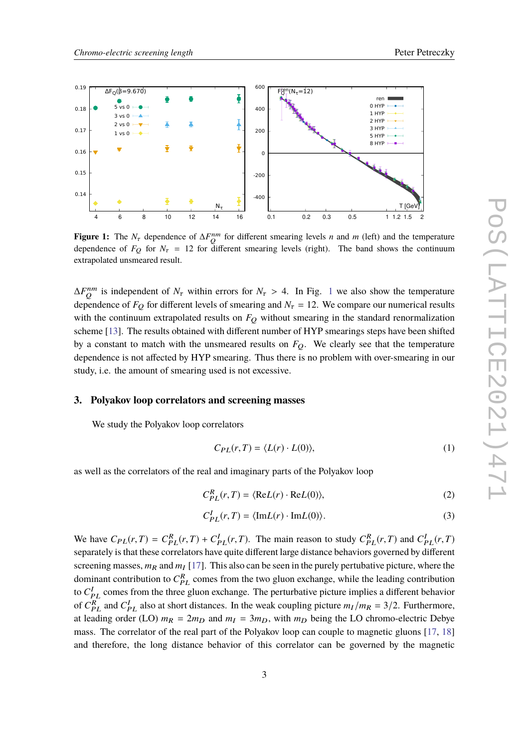<span id="page-2-0"></span>

**Figure 1:** The  $N_{\tau}$  dependence of  $\Delta F_{Q}^{nm}$  for different smearing levels *n* and *m* (left) and the temperature dependence of  $F_{\Omega}$  for  $N_{\tau} = 12$  for different smearing levels (right). The band shows the continuum extrapolated unsmeared result.

 $\Delta F_Q^{nm}$  is independent of  $N_\tau$  within errors for  $N_\tau > 4$ . In Fig. [1](#page-2-0) we also show the temperature dependence of  $F_Q$  for different levels of smearing and  $N<sub>\tau</sub> = 12$ . We compare our numerical results with the continuum extrapolated results on  $F<sub>O</sub>$  without smearing in the standard renormalization scheme [\[13\]](#page-6-11). The results obtained with different number of HYP smearings steps have been shifted by a constant to match with the unsmeared results on  $F<sub>O</sub>$ . We clearly see that the temperature dependence is not affected by HYP smearing. Thus there is no problem with over-smearing in our study, i.e. the amount of smearing used is not excessive.

#### **3. Polyakov loop correlators and screening masses**

We study the Polyakov loop correlators

$$
C_{PL}(r,T) = \langle L(r) \cdot L(0) \rangle, \tag{1}
$$

as well as the correlators of the real and imaginary parts of the Polyakov loop

$$
C_{PL}^{R}(r,T) = \langle \text{Re}L(r) \cdot \text{Re}L(0) \rangle, \tag{2}
$$

$$
C_{PL}^I(r,T) = \langle \text{Im} L(r) \cdot \text{Im} L(0) \rangle. \tag{3}
$$

We have  $C_{PL}(r, T) = C_{PL}^R(r, T) + C_{PL}^I(r, T)$ . The main reason to study  $C_{PL}^R(r, T)$  and  $C_{PL}^I(r, T)$ <br>concretely is that these correlators have quite different lorse distance habeliers asymmed by different separately is that these correlators have quite different large distance behaviors governed by different screening masses,  $m_R$  and  $m_I$  [\[17\]](#page-7-0). This also can be seen in the purely pertubative picture, where the dominant contribution to  $C_{PL}^R$  comes from the two gluon exchange, while the leading contribution to  $C_{PL}^I$  comes from the three gluon exchange. The perturbative picture implies a different behavior of  $C_{PL}^R$  and  $C_{PL}^I$  also at short distances. In the weak coupling picture  $m_I/m_R = 3/2$ . Furthermore, at leading order (LO)  $m_R = 2m_D$  and  $m_I = 3m_D$ , with  $m_D$  being the LO chromo-electric Debye mass. The correlator of the real part of the Polyakov loop can couple to magnetic gluons [\[17,](#page-7-0) [18\]](#page-7-1) and therefore, the long distance behavior of this correlator can be governed by the magnetic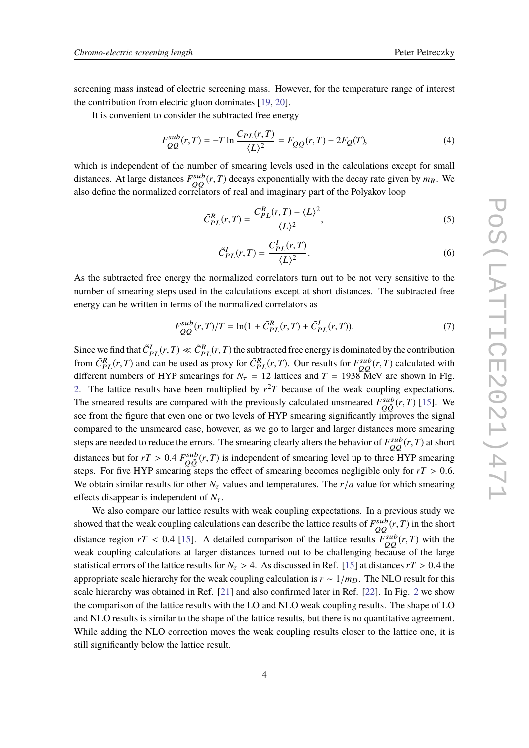screening mass instead of electric screening mass. However, for the temperature range of interest the contribution from electric gluon dominates [\[19,](#page-7-2) [20\]](#page-7-3).

It is convenient to consider the subtracted free energy

$$
F_{Q\bar{Q}}^{sub}(r,T) = -T \ln \frac{C_{PL}(r,T)}{\langle L \rangle^2} = F_{Q\bar{Q}}(r,T) - 2F_Q(T),
$$
\n(4)

which is independent of the number of smearing levels used in the calculations except for small distances. At large distances  $F_{Q\bar{Q}}^{sub}(r,T)$  decays exponentially with the decay rate given by  $m_R$ . We also define the normalized correlators of real and imaginary part of the Polyakov loop

$$
\tilde{C}_{PL}^{R}(r,T) = \frac{C_{PL}^{R}(r,T) - \langle L \rangle^2}{\langle L \rangle^2},\tag{5}
$$

$$
\tilde{C}_{PL}^I(r,T) = \frac{C_{PL}^I(r,T)}{\langle L \rangle^2}.
$$
\n
$$
(6)
$$

As the subtracted free energy the normalized correlators turn out to be not very sensitive to the number of smearing steps used in the calculations except at short distances. The subtracted free energy can be written in terms of the normalized correlators as

$$
F_{Q\bar{Q}}^{sub}(r,T)/T = \ln(1 + \tilde{C}_{PL}^{R}(r,T) + \tilde{C}_{PL}^{I}(r,T)).
$$
\n(7)

Since we find that  $\tilde{C}_{PL}^I(r, T) \ll \tilde{C}_{PL}^R(r, T)$  the subtracted free energy is dominated by the contribution from  $\tilde{C}_{PL}^R(r, T)$  and see he used as **prove** for  $\tilde{C}_{PL}^R(r, T)$ . Our results for  $E_{PL}^{SUE}(r, T)$  solenla from  $\tilde{C}_{PL}^R(r, T)$  and can be used as proxy for  $\tilde{C}_{PL}^R(r, T)$ . Our results for  $F_{Q\bar{Q}}^{sub}(r, T)$  calculated with different numbers of HYP smearings for  $N_{\tau} = 12$  lattices and  $T = 1938$  MeV are shown in Fig. [2.](#page-4-0) The lattice results have been multiplied by  $r^2T$  because of the weak coupling expectations. The smeared results are compared with the previously calculated unsmeared  $F_{Q\bar{Q}}^{sub}(r, T)$  [\[15\]](#page-6-12). We see from the figure that even one or two levels of HYP smearing significantly improves the signal compared to the unsmeared case, however, as we go to larger and larger distances more smearing steps are needed to reduce the errors. The smearing clearly alters the behavior of  $F_{Q\bar{Q}}^{sub}(r, T)$  at short distances but for  $rT > 0.4 F_{Q\bar{Q}}^{sub}(r, T)$  is independent of smearing level up to three HYP smearing<br>stage. For five UVP smearing stage the effect of smearing becomes negligible sply for  $rT > 0.6$ steps. For five HYP smearing steps the effect of smearing becomes negligible only for  $rT > 0.6$ . We obtain similar results for other  $N_{\tau}$  values and temperatures. The  $r/a$  value for which smearing effects disappear is independent of  $N_{\tau}$ .

We also compare our lattice results with weak coupling expectations. In a previous study we showed that the weak coupling calculations can describe the lattice results of  $F_{Q\bar{Q}}^{sub}(r, T)$  in the short distance region  $rT < 0.4$  [\[15\]](#page-6-12). A detailed comparison of the lattice results  $\frac{F^{sub}}{Q\bar{Q}}(r, T)$  with the weak coupling calculations at larger distances turned out to be challenging because of the large statistical errors of the lattice results for  $N_\tau > 4$ . As discussed in Ref. [\[15\]](#page-6-12) at distances  $rT > 0.4$  the appropriate scale hierarchy for the weak coupling calculation is  $r \sim 1/m_D$ . The NLO result for this scale hierarchy was obtained in Ref. [\[21\]](#page-7-4) and also confirmed later in Ref. [\[22\]](#page-7-5). In Fig. [2](#page-4-0) we show the comparison of the lattice results with the LO and NLO weak coupling results. The shape of LO and NLO results is similar to the shape of the lattice results, but there is no quantitative agreement. While adding the NLO correction moves the weak coupling results closer to the lattice one, it is still significantly below the lattice result.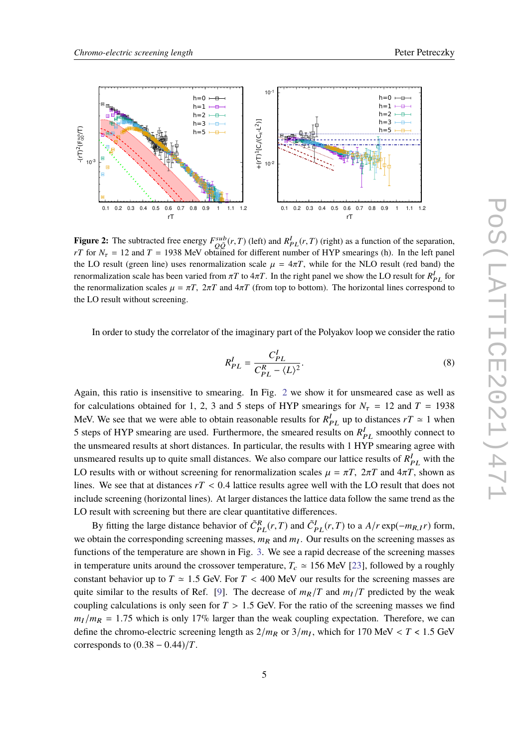<span id="page-4-0"></span>

**Figure 2:** The subtracted free energy  $F_{QQ}^{sub}(r, T)$  (left) and  $R_{PL}^I(r, T)$  (right) as a function of the separation,<br> $F_{T}^I$  for  $N = 12$  and  $T = 1028$  MeV obtained for different number of HVD smoonings (b). In the left *rT* for  $N_{\tau} = 12$  and  $T = 1938$  MeV obtained for different number of HYP smearings (h). In the left panel the LO result (green line) uses renormalization scale  $\mu = 4\pi T$ , while for the NLO result (red band) the renormalization scale has been varied from  $\pi T$  to  $4\pi T$ . In the right panel we show the LO result for  $R_{PL}^I$  for<br>the renormalization scales  $\mu = \pi T$ ,  $2\pi T$  and  $4\pi T$  (from top to bottom). The horizontal lines corre the renormalization scales  $\mu = \pi T$ ,  $2\pi T$  and  $4\pi T$  (from top to bottom). The horizontal lines correspond to the LO result without screening.

In order to study the correlator of the imaginary part of the Polyakov loop we consider the ratio

$$
R_{PL}^I = \frac{C_{PL}^I}{C_{PL}^R - \langle L \rangle^2}.
$$
\n
$$
(8)
$$

Again, this ratio is insensitive to smearing. In Fig. [2](#page-4-0) we show it for unsmeared case as well as for calculations obtained for 1, 2, 3 and 5 steps of HYP smearings for  $N<sub>\tau</sub> = 12$  and  $T = 1938$ MeV. We see that we were able to obtain reasonable results for  $R_{PL}^I$  up to distances  $rT \approx 1$  when 5 steps of HYP smearing are used. Furthermore, the smeared results on  $R_{PL}^I$  smoothly connect to the unsmeared results at short distances. In particular, the results with 1 HYP smearing agree with unsmeared results up to quite small distances. We also compare our lattice results of  $R_{PL}^I$  with the LO results with or without screening for renormalization scales  $\mu = \pi T$ ,  $2\pi T$  and  $4\pi T$ , shown as lines. We see that at distances  $rT < 0.4$  lattice results agree well with the LO result that does not include screening (horizontal lines). At larger distances the lattice data follow the same trend as the LO result with screening but there are clear quantitative differences.

By fitting the large distance behavior of  $\tilde{C}_{PL}^R(r,T)$  and  $\tilde{C}_{PL}^I(r,T)$  to a  $A/r \exp(-m_{R,I}r)$  form, we obtain the corresponding screening masses,  $m_R$  and  $m_I$ . Our results on the screening masses as functions of the temperature are shown in Fig. [3.](#page-5-1) We see a rapid decrease of the screening masses in temperature units around the crossover temperature,  $T_c \approx 156$  MeV [\[23\]](#page-7-6), followed by a roughly constant behavior up to  $T \approx 1.5$  GeV. For  $T < 400$  MeV our results for the screening masses are quite similar to the results of Ref. [\[9\]](#page-6-6). The decrease of  $m_R/T$  and  $m_I/T$  predicted by the weak coupling calculations is only seen for  $T > 1.5$  GeV. For the ratio of the screening masses we find  $m_l/m_R = 1.75$  which is only 17% larger than the weak coupling expectation. Therefore, we can define the chromo-electric screening length as  $2/m_R$  or  $3/m_I$ , which for 170 MeV < *T* < 1.5 GeV corresponds to  $(0.38 - 0.44)/T$ .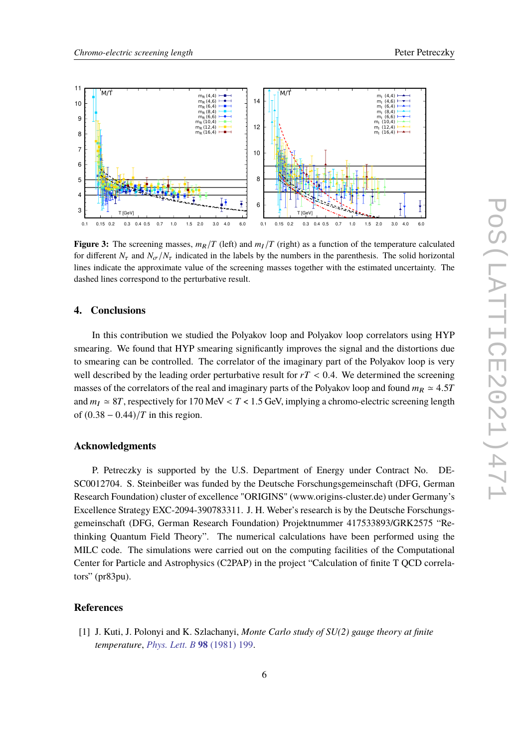<span id="page-5-1"></span>

**Figure 3:** The screening masses,  $m_R/T$  (left) and  $m_I/T$  (right) as a function of the temperature calculated for different  $N_{\tau}$  and  $N_{\sigma}/N_{\tau}$  indicated in the labels by the numbers in the parenthesis. The solid horizontal lines indicate the approximate value of the screening masses together with the estimated uncertainty. The dashed lines correspond to the perturbative result.

# **4. Conclusions**

In this contribution we studied the Polyakov loop and Polyakov loop correlators using HYP smearing. We found that HYP smearing significantly improves the signal and the distortions due to smearing can be controlled. The correlator of the imaginary part of the Polyakov loop is very well described by the leading order perturbative result for  $rT < 0.4$ . We determined the screening masses of the correlators of the real and imaginary parts of the Polyakov loop and found  $m_R \approx 4.5T$ and  $m_I \approx 8T$ , respectively for 170 MeV <  $T$  < 1.5 GeV, implying a chromo-electric screening length of  $(0.38 - 0.44)/T$  in this region.

# **Acknowledgments**

P. Petreczky is supported by the U.S. Department of Energy under Contract No. DE-SC0012704. S. Steinbeißer was funded by the Deutsche Forschungsgemeinschaft (DFG, German Research Foundation) cluster of excellence "ORIGINS" (www.origins-cluster.de) under Germany's Excellence Strategy EXC-2094-390783311. J. H. Weber's research is by the Deutsche Forschungsgemeinschaft (DFG, German Research Foundation) Projektnummer 417533893/GRK2575 "Rethinking Quantum Field Theory". The numerical calculations have been performed using the MILC code. The simulations were carried out on the computing facilities of the Computational Center for Particle and Astrophysics (C2PAP) in the project "Calculation of finite T QCD correlators" (pr83pu).

# **References**

<span id="page-5-0"></span>[1] J. Kuti, J. Polonyi and K. Szlachanyi, *Monte Carlo study of SU(2) gauge theory at finite temperature*, *[Phys. Lett. B](https://doi.org/10.1016/0370-2693(81)90987-4)* **98** (1981) 199.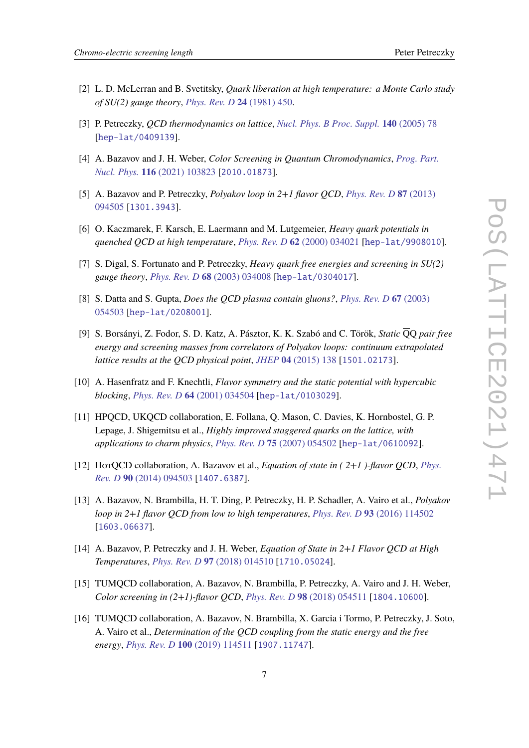- <span id="page-6-0"></span>[2] L. D. McLerran and B. Svetitsky, *Quark liberation at high temperature: a Monte Carlo study of SU(2) gauge theory*, *[Phys. Rev. D](https://doi.org/10.1103/PhysRevD.24.450)* **24** (1981) 450.
- <span id="page-6-1"></span>[3] P. Petreczky, *QCD thermodynamics on lattice*, *[Nucl. Phys. B Proc. Suppl.](https://doi.org/10.1016/j.nuclphysbps.2004.11.366)* **140** (2005) 78 [[hep-lat/0409139](https://arxiv.org/abs/hep-lat/0409139)].
- <span id="page-6-2"></span>[4] A. Bazavov and J. H. Weber, *Color Screening in Quantum Chromodynamics*, *[Prog. Part.](https://doi.org/10.1016/j.ppnp.2020.103823) Nucl. Phys.* **116** [\(2021\) 103823](https://doi.org/10.1016/j.ppnp.2020.103823) [[2010.01873](https://arxiv.org/abs/2010.01873)].
- <span id="page-6-3"></span>[5] A. Bazavov and P. Petreczky, *Polyakov loop in 2+1 flavor QCD*, *[Phys. Rev. D](https://doi.org/10.1103/PhysRevD.87.094505)* **87** (2013) [094505](https://doi.org/10.1103/PhysRevD.87.094505) [[1301.3943](https://arxiv.org/abs/1301.3943)].
- <span id="page-6-4"></span>[6] O. Kaczmarek, F. Karsch, E. Laermann and M. Lutgemeier, *Heavy quark potentials in quenched QCD at high temperature*, *[Phys. Rev. D](https://doi.org/10.1103/PhysRevD.62.034021)* **62** (2000) 034021 [[hep-lat/9908010](https://arxiv.org/abs/hep-lat/9908010)].
- [7] S. Digal, S. Fortunato and P. Petreczky, *Heavy quark free energies and screening in SU(2) gauge theory*, *[Phys. Rev. D](https://doi.org/10.1103/PhysRevD.68.034008)* **68** (2003) 034008 [[hep-lat/0304017](https://arxiv.org/abs/hep-lat/0304017)].
- <span id="page-6-5"></span>[8] S. Datta and S. Gupta, *Does the QCD plasma contain gluons?*, *[Phys. Rev. D](https://doi.org/10.1103/PhysRevD.67.054503)* **67** (2003) [054503](https://doi.org/10.1103/PhysRevD.67.054503) [[hep-lat/0208001](https://arxiv.org/abs/hep-lat/0208001)].
- <span id="page-6-6"></span>[9] S. Borsányi, Z. Fodor, S. D. Katz, A. Pásztor, K. K. Szabó and C. Török, *Static* QQ *pair free energy and screening masses from correlators of Polyakov loops: continuum extrapolated lattice results at the QCD physical point*, *JHEP* **04** [\(2015\) 138](https://doi.org/10.1007/JHEP04(2015)138) [[1501.02173](https://arxiv.org/abs/1501.02173)].
- <span id="page-6-7"></span>[10] A. Hasenfratz and F. Knechtli, *Flavor symmetry and the static potential with hypercubic blocking*, *[Phys. Rev. D](https://doi.org/10.1103/PhysRevD.64.034504)* **64** (2001) 034504 [[hep-lat/0103029](https://arxiv.org/abs/hep-lat/0103029)].
- <span id="page-6-8"></span>[11] HPQCD, UKQCD collaboration, E. Follana, Q. Mason, C. Davies, K. Hornbostel, G. P. Lepage, J. Shigemitsu et al., *Highly improved staggered quarks on the lattice, with applications to charm physics*, *[Phys. Rev. D](https://doi.org/10.1103/PhysRevD.75.054502)* **75** (2007) 054502 [[hep-lat/0610092](https://arxiv.org/abs/hep-lat/0610092)].
- <span id="page-6-9"></span>[12] HotQCD collaboration, A. Bazavov et al., *Equation of state in ( 2+1 )-flavor QCD*, *[Phys.](https://doi.org/10.1103/PhysRevD.90.094503) Rev. D* **90** [\(2014\) 094503](https://doi.org/10.1103/PhysRevD.90.094503) [[1407.6387](https://arxiv.org/abs/1407.6387)].
- <span id="page-6-11"></span>[13] A. Bazavov, N. Brambilla, H. T. Ding, P. Petreczky, H. P. Schadler, A. Vairo et al., *Polyakov loop in 2+1 flavor QCD from low to high temperatures*, *[Phys. Rev. D](https://doi.org/10.1103/PhysRevD.93.114502)* **93** (2016) 114502 [[1603.06637](https://arxiv.org/abs/1603.06637)].
- [14] A. Bazavov, P. Petreczky and J. H. Weber, *Equation of State in 2+1 Flavor QCD at High Temperatures*, *[Phys. Rev. D](https://doi.org/10.1103/PhysRevD.97.014510)* **97** (2018) 014510 [[1710.05024](https://arxiv.org/abs/1710.05024)].
- <span id="page-6-12"></span>[15] TUMQCD collaboration, A. Bazavov, N. Brambilla, P. Petreczky, A. Vairo and J. H. Weber, *Color screening in (2+1)-flavor QCD*, *[Phys. Rev. D](https://doi.org/10.1103/PhysRevD.98.054511)* **98** (2018) 054511 [[1804.10600](https://arxiv.org/abs/1804.10600)].
- <span id="page-6-10"></span>[16] TUMQCD collaboration, A. Bazavov, N. Brambilla, X. Garcia i Tormo, P. Petreczky, J. Soto, A. Vairo et al., *Determination of the QCD coupling from the static energy and the free energy*, *[Phys. Rev. D](https://doi.org/10.1103/PhysRevD.100.114511)* **100** (2019) 114511 [[1907.11747](https://arxiv.org/abs/1907.11747)].